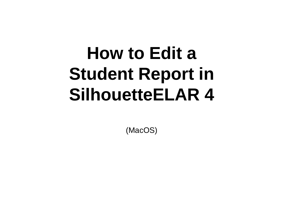## **How to Edit a Student Report in SilhouetteELAR 4**

(MacOS)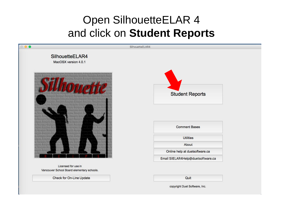## Open SilhouetteELAR 4 and click on **Student Reports**



Check for On-Line Update

Quit

copyright Duet Software, Inc.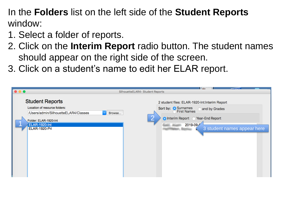In the **Folders** list on the left side of the **Student Reports**  window:

- 1. Select a folder of reports.
- 2. Click on the **Interim Report** radio button. The student names should appear on the right side of the screen.
- 3. Click on a student's name to edit her ELAR report.

| $\bullet\bullet\bullet$                                                                                                                                    | SilhouetteELAR4- Student Reports                                                                                                                                                      |
|------------------------------------------------------------------------------------------------------------------------------------------------------------|---------------------------------------------------------------------------------------------------------------------------------------------------------------------------------------|
| <b>Student Reports</b><br>Location of resource folders:<br>/Users/admin/SilhouetteELAR4/Classes<br>Folder: ELAR-1920-Int<br>ELAR-1920-Int<br>ELAR-1920-Pri | 2 student files: ELAR-1920-Int:Interim Report<br>Sort by: Surnames<br>and by Grades<br>Browse<br>LC.<br>O Interim Report C Year-End Report<br>2019-09-<br>3 student names appear here |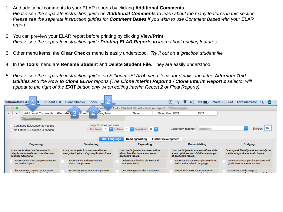- 1. Add additional comments to your ELAR reports by clicking **Additional Comments.** *Please see the separate instruction guide on Additional Comments to learn about the many features in this section. Please see the separate instruction guides for Comment Bases if you wish to use Comment Bases with your ELAR report.*
- 2. You can preview your ELAR report before printing by clicking **View/Print**. *Please see the separate instruction guide Printing ELAR Reports to learn about printing features*.
- 3. Other menu items: the **Clear Checks** menu is easily understood*. Try it out on a 'practice' student file.*
- 4. In the **Tools** menu are **Rename Student** and **Delete Student File**. They are easily understood.
- *5. Please see the separate instruction guides on SilhouetteELAR4 menu items for details about the Alternate Text Utilities and the How to Clone ELAR reports (The Clone Interim Report 1 / Clone Interim Report 2 selector will appear to the right of the EXIT button only when editing Interim Report 2 or Final Reports).*